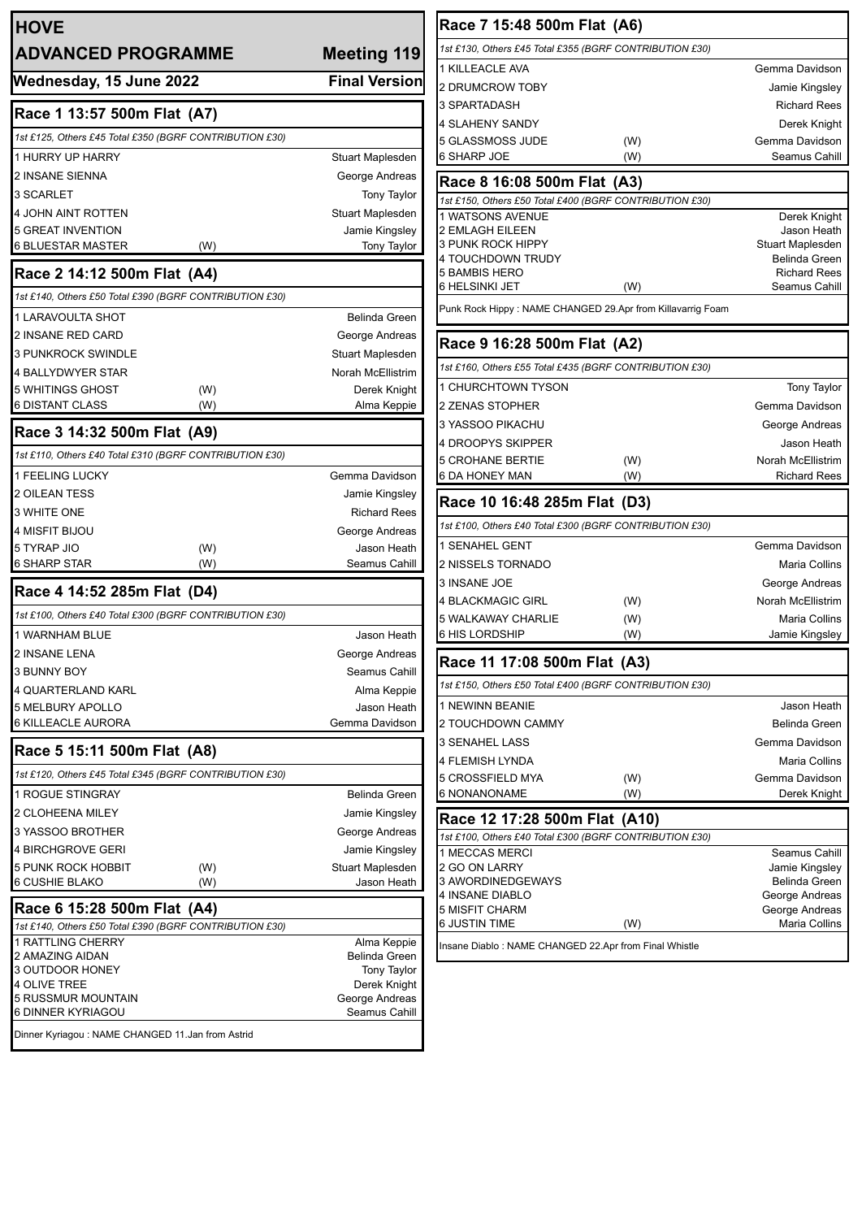| <b>HOVE</b>                                                                            |                                    | Race 7 15:4                    |
|----------------------------------------------------------------------------------------|------------------------------------|--------------------------------|
| <b>ADVANCED PROGRAMME</b>                                                              | <b>Meeting 119</b>                 | 1st £130, Others £             |
| Wednesday, 15 June 2022                                                                | <b>Final Version</b>               | 1 KILLEACLE AV                 |
|                                                                                        |                                    | 2 DRUMCROW<br>3 SPARTADASH     |
| Race 1 13:57 500m Flat (A7)                                                            |                                    | 4 SLAHENY SAI                  |
| 1st £125, Others £45 Total £350 (BGRF CONTRIBUTION £30)                                |                                    | 5 GLASSMOSS                    |
| <b>1 HURRY UP HARRY</b>                                                                | Stuart Maplesden                   | 6 SHARP JOE                    |
| 2 INSANE SIENNA                                                                        | George Andreas                     | Race 8 16:0                    |
| 3 SCARLET                                                                              | Tony Taylor                        | 1st £150, Others £             |
| 4 JOHN AINT ROTTEN                                                                     | Stuart Maplesden                   | 1 WATSONS AV                   |
| <b>5 GREAT INVENTION</b><br>6 BLUESTAR MASTER<br>(W)                                   | Jamie Kingsley<br>Tony Taylor      | 2 EMLAGH EILE<br>3 PUNK ROCK I |
|                                                                                        |                                    | 4 TOUCHDOWN                    |
| Race 2 14:12 500m Flat (A4)                                                            |                                    | 5 BAMBIS HER<br>6 HELSINKI JET |
| 1st £140, Others £50 Total £390 (BGRF CONTRIBUTION £30)                                |                                    |                                |
| 1 LARAVOULTA SHOT                                                                      | Belinda Green                      | Punk Rock Hippy                |
| 2 INSANE RED CARD                                                                      | George Andreas                     | Race 9 16:2                    |
| <b>3 PUNKROCK SWINDLE</b>                                                              | Stuart Maplesden                   | 1st £160, Others £             |
| 4 BALLYDWYER STAR                                                                      | Norah McEllistrim                  |                                |
| 5 WHITINGS GHOST<br>(W)<br><b>6 DISTANT CLASS</b><br>(W)                               | Derek Knight<br>Alma Keppie        | 1 CHURCHTOW<br>2 ZENAS STOP    |
|                                                                                        |                                    | 3 YASSOO PIKA                  |
| Race 3 14:32 500m Flat (A9)                                                            |                                    | 4 DROOPYS SK                   |
| 1st £110, Others £40 Total £310 (BGRF CONTRIBUTION £30)                                |                                    | <b>5 CROHANE BE</b>            |
| 1 FEELING LUCKY                                                                        | Gemma Davidson                     | 6 DA HONEY M.                  |
| 2 OILEAN TESS                                                                          | Jamie Kingsley                     | <b>Race 10 16</b>              |
| 3 WHITE ONE                                                                            | <b>Richard Rees</b>                | 1st £100, Others £             |
| 4 MISFIT BIJOU                                                                         | George Andreas                     | 1 SENAHEL GE                   |
| 5 TYRAP JIO<br>(W)<br>6 SHARP STAR<br>(W)                                              | Jason Heath<br>Seamus Cahill       | 2 NISSELS TOR                  |
|                                                                                        |                                    | 3 INSANE JOE                   |
| Race 4 14:52 285m Flat (D4)                                                            |                                    | <b>4 BLACKMAGIC</b>            |
| 1st £100, Others £40 Total £300 (BGRF CONTRIBUTION £30)                                |                                    | 5 WALKAWAY C                   |
| 1 WARNHAM BLUE                                                                         | Jason Heath                        | <b>6 HIS LORDSHI</b>           |
| 2 INSANE LENA                                                                          | George Andreas                     | <b>Race 11 17</b>              |
| 3 BUNNY BOY                                                                            | Seamus Cahill                      | 1st £150, Others £             |
| <b>4 QUARTERLAND KARL</b><br>5 MELBURY APOLLO                                          | Alma Keppie<br>Jason Heath         | 1 NEWINN BEA                   |
| 6 KILLEACLE AURORA                                                                     | Gemma Davidson                     | 2 TOUCHDOWN                    |
|                                                                                        |                                    | 3 SENAHEL LAS                  |
| Race 5 15:11 500m Flat (A8)                                                            |                                    | 4 FLEMISH LYN                  |
| 1st £120, Others £45 Total £345 (BGRF CONTRIBUTION £30)                                |                                    | 5 CROSSFIELD                   |
| <b>1 ROGUE STINGRAY</b>                                                                | Belinda Green                      | 6 NONANONAM                    |
| 2 CLOHEENA MILEY                                                                       | Jamie Kingsley                     | <b>Race 12 17</b>              |
| 3 YASSOO BROTHER                                                                       | George Andreas                     | 1st £100, Others £             |
| 4 BIRCHGROVE GERI<br>5 PUNK ROCK HOBBIT<br>(W)                                         | Jamie Kingsley<br>Stuart Maplesden | 1 MECCAS MEF<br>2 GO ON LARR'  |
| 6 CUSHIE BLAKO<br>(W)                                                                  | Jason Heath                        | 3 AWORDINED(                   |
|                                                                                        |                                    | 4 INSANE DIAB                  |
| Race 6 15:28 500m Flat (A4)<br>1st £140, Others £50 Total £390 (BGRF CONTRIBUTION £30) |                                    | 5 MISFIT CHAR<br>6 JUSTIN TIME |
| 1 RATTLING CHERRY                                                                      | Alma Keppie                        | Insane Diablo: NA              |
| 2 AMAZING AIDAN                                                                        | Belinda Green                      |                                |
| 3 OUTDOOR HONEY<br>4 OLIVE TREE                                                        | Tony Taylor<br>Derek Knight        |                                |
| 5 RUSSMUR MOUNTAIN                                                                     | George Andreas                     |                                |
| 6 DINNER KYRIAGOU                                                                      | Seamus Cahill                      |                                |
| Dinner Kyriagou: NAME CHANGED 11.Jan from Astrid                                       |                                    |                                |

| Race 7 15:48 500m Flat (A6)                                 |     |                                          |  |
|-------------------------------------------------------------|-----|------------------------------------------|--|
| 1st £130, Others £45 Total £355 (BGRF CONTRIBUTION £30)     |     |                                          |  |
| 1 KILLEACLE AVA                                             |     | Gemma Davidson                           |  |
| 2 DRUMCROW TOBY                                             |     | Jamie Kingsley                           |  |
| 3 SPARTADASH                                                |     | <b>Richard Rees</b>                      |  |
| 4 SLAHENY SANDY                                             |     | Derek Knight                             |  |
| 5 GLASSMOSS JUDE                                            | (W) | Gemma Davidson                           |  |
| 6 SHARP JOE                                                 | (W) | Seamus Cahill                            |  |
| Race 8 16:08 500m Flat (A3)                                 |     |                                          |  |
| 1st £150, Others £50 Total £400 (BGRF CONTRIBUTION £30)     |     |                                          |  |
| 1 WATSONS AVENUE                                            |     | Derek Knight                             |  |
| 2 EMLAGH EILEEN                                             |     | Jason Heath                              |  |
| 3 PUNK ROCK HIPPY<br>4 TOUCHDOWN TRUDY                      |     | Stuart Maplesden<br><b>Belinda Green</b> |  |
| 5 BAMBIS HERO                                               |     | <b>Richard Rees</b>                      |  |
| 6 HELSINKI JET                                              | (W) | Seamus Cahill                            |  |
| Punk Rock Hippy : NAME CHANGED 29.Apr from Killavarrig Foam |     |                                          |  |
| Race 9 16:28 500m Flat (A2)                                 |     |                                          |  |
| 1st £160, Others £55 Total £435 (BGRF CONTRIBUTION £30)     |     |                                          |  |
| 1 CHURCHTOWN TYSON                                          |     | <b>Tony Taylor</b>                       |  |
| 2 ZENAS STOPHER                                             |     | Gemma Davidson                           |  |
| 3 YASSOO PIKACHU                                            |     | George Andreas                           |  |
| 4 DROOPYS SKIPPER                                           |     | Jason Heath                              |  |
| 5 CROHANE BERTIE                                            | (W) | Norah McEllistrim                        |  |
| 6 DA HONEY MAN                                              | (W) | <b>Richard Rees</b>                      |  |
| Race 10 16:48 285m Flat (D3)                                |     |                                          |  |
| 1st £100, Others £40 Total £300 (BGRF CONTRIBUTION £30)     |     |                                          |  |
| 1 SENAHEL GENT                                              |     | Gemma Davidson                           |  |
| 2 NISSELS TORNADO                                           |     | <b>Maria Collins</b>                     |  |
| 3 INSANE JOE                                                |     | George Andreas                           |  |
| 4 BLACKMAGIC GIRL                                           | (W) | <b>Norah McEllistrim</b>                 |  |
| 5 WALKAWAY CHARLIE                                          | (W) | Maria Collins                            |  |
| 6 HIS LORDSHIP                                              | (W) | Jamie Kingsley                           |  |
| Race 11 17:08 500m Flat (A3)                                |     |                                          |  |
| 1st £150, Others £50 Total £400 (BGRF CONTRIBUTION £30)     |     |                                          |  |
| 1 NEWINN BEANIE                                             |     | Jason Heath                              |  |
| 2 TOUCHDOWN CAMMY                                           |     | Belinda Green                            |  |
| 3 SENAHEL LASS                                              |     | Gemma Davidson                           |  |
| 4 FLEMISH LYNDA                                             |     | Maria Collins                            |  |
| 5 CROSSFIELD MYA                                            | (W) | Gemma Davidson                           |  |
| 6 NONANONAME                                                | (W) | Derek Knight                             |  |
| Race 12 17:28 500m Flat (A10)                               |     |                                          |  |
| 1st £100, Others £40 Total £300 (BGRF CONTRIBUTION £30)     |     |                                          |  |
| 1 MECCAS MERCI                                              |     | Seamus Cahill                            |  |
| 2 GO ON LARRY<br>3 AWORDINEDGEWAYS                          |     | Jamie Kingsley<br>Belinda Green          |  |
| 4 INSANE DIABLO                                             |     | George Andreas                           |  |
| 5 MISFIT CHARM                                              |     | George Andreas                           |  |
| 6 JUSTIN TIME                                               | (W) | Maria Collins                            |  |
| Insane Diablo: NAME CHANGED 22.Apr from Final Whistle       |     |                                          |  |
|                                                             |     |                                          |  |